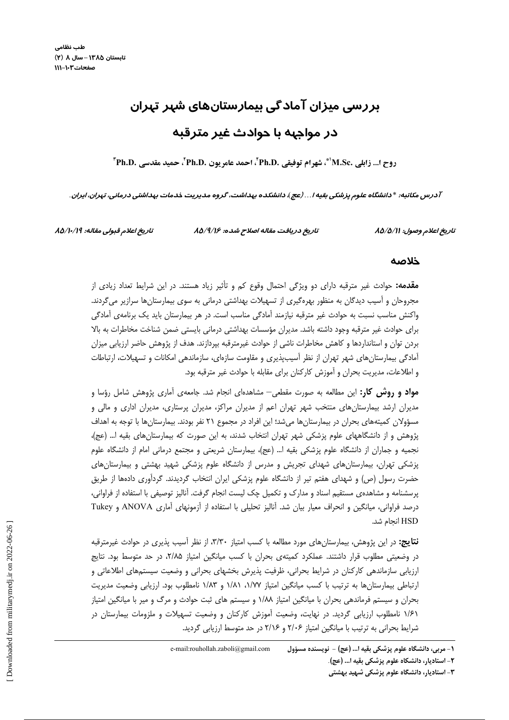# بررسی میزان آمادگی بیمارستانهای شہر تہران در مواجهه با حوادث غیر مترقبه

روح ا... زابلي .M.Sc\*\*، شهرام توفيقي .Ph.D'، احمد عامريون .Ph.D'، حميد مقدسي .Ph.D'

آدرس مکاتبه: \*دانشگاه علوم پزشکی بقیه۱...(عج)، دانشکده بهداشت، گروه مدیریت خدمات بهداشتی درمانی، تهران، ایران.

تاريخ اعلام قبولي مقاله: ١٩/١٠/١٩/

تاریخ دریافت مقاله اصلاح شده: ۸۵/۹/۱۶

تاريخ اعلام وصول: ٨٥/٥/١١

#### خلاصه

**مقدمه:** حوادث غیر مترقبه دارای دو ویژگی احتمال وقوع کم و تأثیر زیاد هستند. در این شرایط تعداد زیادی از مجروحان و اّسیب دیدگان به منظور بهرهگیری از تسهیلات بهداشتی درمانی به سوی بیمارستانها سرازیر میگردند. واکنش مناسب نسبت به حوادث غیر مترقبه نیازمند آمادگی مناسب است. در هر بیمارستان باید یک برنامهی آمادگی برای حوادث غیر مترقبه وجود داشته باشد. مدیران مؤسسات بهداشتی درمانی بایستی ضمن شناخت مخاطرات به بالا بردن توان و استانداردها و کاهش مخاطرات ناشی از حوادث غیرمترقبه بپردازند. هدف از پژوهش حاضر ارزیابی میزان آمادگی بیمارستانهای شهر تهران از نظر اسیبپذیری و مقاومت سازهای، سازماندهی امکانات و تسهیلات، ارتباطات و اطلاعات، مدیریت بحران و آموزش کارکنان برای مقابله با حوادث غیر مترقبه بود.

**مواد و روش کار:** این مطالعه به صورت مقطعی— مشاهدهای انجام شد. جامعهی آماری پژوهش شامل رؤسا و مدیران ارشد بیمارستان های منتخب شهر تهران اعم از مدیران مراکز، مدیران پرستاری، مدیران اداری و مالی و مسؤولان کمیتههای بحران در بیمارستانها میشد؛ این افراد در مجموع ۲۱ نفر بودند. بیمارستانها با توجه به اهداف پژوهش و از دانشگاههای علوم پزشکی شهر تهران انتخاب شدند، به این صورت که بیمارستانهای بقیه ا… (عج)، نجمیه و جماران از دانشگاه علوم پزشکی بقیه ا… (عج)، بیمارستان شریعتی و مجتمع درمانی امام از دانشگاه علوم یزشکی تهران، بیمارستانهای شهدای تجریش و مدرس از دانشگاه علوم پزشکی شهید بهشتی و بیمارستانهای حضرت رسول (ص) و شهدای هفتم تیر از دانشگاه علوم پزشکی ایران انتخاب گردیدند. گردآوری دادهها از طریق پرسشنامه و مشاهدهی مستقیم اسناد و مدارک و تکمیل چک لیست انجام گرفت. آنالیز توصیفی با استفاده از فراوانی، درصد فراوانی، میانگین و انحراف معیار بیان شد. آنالیز تحلیلی با استفاده از آزمونهای آماری ANOVA و Tukey HSD انحام شد.

**نتایج:** در این پژوهش، بیمارستانهای مورد مطالعه با کسب امتیاز ۳/۳۰، از نظر آسیب پذیری در حوادث غیرمترقبه در وضعیتی مطلوب قرار داشتند. عملکرد کمیتهی بحران با کسب میانگین امتیاز ۲/۸۵، در حد متوسط بود. نتایج ارزیابی سازماندهی کارکنان در شرایط بحرانی، ظرفیت پذیرش بخشهای بحرانی و وضعیت سیستمهای اطلاعاتی و ارتباطی بیمارستانها به ترتیب با کسب میانگین امتیاز ۱/۸۷، ۱/۸۱ و ۱/۸۳ نامطلوب بود. ارزیابی وضعیت مدیریت بحران و سیستم فرماندهی بحران با میانگین امتیاز ۱/۸۸ و سیستم های ثبت حوادث و مرگ و میر با میانگین امتیاز ۱/۶۱ نامطلوب ارزیابی گردید. در نهایت، وضعیت آموزش کارکنان و وضعیت تسهیلات و ملزومات بیمارستان در شرایط بحرانی به ترتیب با میانگین امتیاز ۲/۰۶ و ۲/۱۶ در حد متوسط ارزیابی گردید.

e-mail:rouhollah.zaboli@gmail.com ١- مربي، دانشگاه علوم پزشكي بقيه ا... (عج) - نويسنده مسؤول ٢- استاديار، دانشكاه علوم پزشكي بقيه ا... (عج).

۳- استادیار، دانشگاه علوم پزشکی شهید بهشتی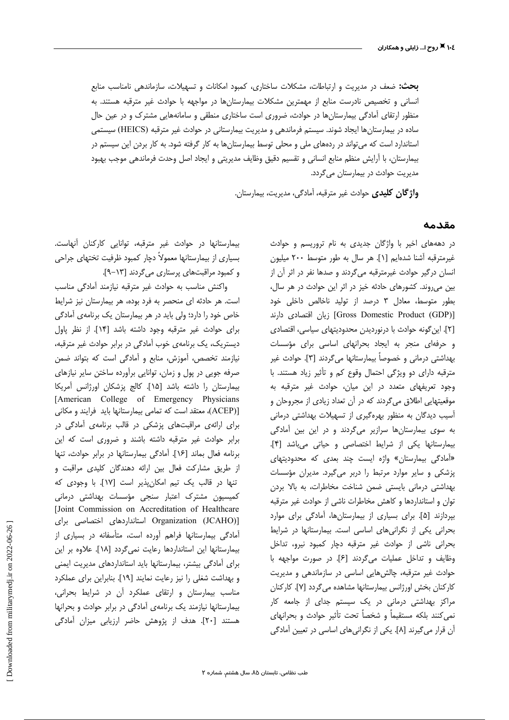**بحث:** ضعف در مدیریت و ارتباطات، مشکلات ساختاری، کمبود امکانات و تسهیلات، سازماندهی نامناسب منابع انسانی و تخصیص نادرست منابع از مهمترین مشکلات بیمارستانها در مواجهه با حوادث غیر مترقبه هستند. به منظور ارتقای آمادگی بیمارستانها در حوادث، ضروری است ساختاری منطقی و سامانههایی مشترک و در عین حال ساده در بیمارستانها ایجاد شوند. سیستم فرماندهی و مدیریت بیمارستانی در حوادث غیر مترقبه (HEICS) سیستمی استاندارد است که میتواند در ردههای ملی و محلی توسط بیمارستانها به کار گرفته شود. به کار بردن این سیستم در بيمارستان، با آرايش منظم منابع انساني و تقسيم دقيق وظايف مديريتي و ايجاد اصل وحدت فرماندهي موجب بهبود مدیریت حوادث در بیمارستان میگردد.

واژگان کلیدی حوادث غیر مترقبه، آمادگی، مدیریت، بیمارستان.

#### مقدمه

در دهههای اخیر با واژگان جدیدی به نام تروریسم و حوادث غيرمترقبه آشنا شدهايم [١]. هر سال به طور متوسط ٢٠٠ ميليون انسان درگیر حوادث غیرمترقبه میگردند و صدها نفر در اثر آن از بین می روند. کشورهای حادثه خیز در اثر این حوادث در هر سال، بطور متوسط، معادل ٣ درصد از توليد ناخالص داخلي خود [Gross Domestic Product (GDP)] زيان اقتصادى دارند [٢]. این گونه حوادث با درنوردیدن محدودیتهای سیاسی، اقتصادی و حرفهای منجر به ایجاد بحرانهای اساسی برای مؤسسات بهداشتی درمانی و خصوصاً بیمارستانها میگردند [۳]. حوادث غیر مترقبه دارای دو ویژگی احتمال وقوع کم و تأثیر زیاد هستند. با وجود تعریفهای متعدد در این میان، حوادث غیر مترقبه به موقعیتهایی اطلاق میگردند که در آن تعداد زیادی از مجروحان و آسیب دیدگان به منظور بهرهگیری از تسهیلات بهداشتی درمانی به سوی بیمارستانها سرازیر میگردند و در این بین آمادگی بيمارستانها يكي از شرايط اختصاصي وحياتي مي باشد [۴]. «أمادگی بیمارستان» واژه ایست چند بعدی که محدودیتهای یزشکی و سایر موارد مرتبط را دربر میگیرد. مدیران مؤسسات بهداشتی درمانی بایستی ضمن شناخت مخاطرات، به بالا بردن توان و استانداردها و كاهش مخاطرات ناشى از حوادث غير مترقبه بپردازند [۵]. برای بسیاری از بیمارستانها، آمادگی برای موارد بحرانی یکی از نگرانی های اساسی است. بیمارستانها در شرایط بحرانی ناشی از حوادث غیر مترقبه دچار کمبود نیرو، تداخل وظايف و تداخل عمليات مي گردند [۶]. در صورت مواجهه با حوادث غیر مترقبه، چالش هایی اساسی در سازماندهی و مدیریت كاركنان بخش اورژانس بيمارستانها مشاهده مي گردد [۷]. كاركنان مراکز بهداشتی درمانی در یک سیستم جدای از جامعه کار نمي كنند بلكه مستقيماً و شخصاً تحت تأثير حوادث و بحرانهاي آن قرار میگیرند [A]. یکی از نگرانیهای اساسی در تعیین آمادگی

بیمارستانها در حوادث غیر مترقبه، توانایی کارکنان آنهاست. بسیاری از بیمارستانها معمولاً دچار کمبود ظرفیت تختهای جراحی و کمبود مراقبتهای پرستاری می گردند [۱۳-۹].

واكنش مناسب به حوادث غير مترقبه نيازمند آمادگي مناسب است. هر حادثه ای منحصر به فرد بوده، هر بیمارستان نیز شرایط خاص خود را دارد؛ ولی باید در هر بیمارستان یک برنامهی آمادگی براى حوادث غير مترقبه وجود داشته باشد [١۴]. از نظر پاول دیستریک، یک برنامهی خوب آمادگی در برابر حوادث غیر مترقبه، نیازمند تخصص، آموزش، منابع و آمادگی است که بتواند ضمن صرفه جویی در پول و زمان، توانایی برآورده ساختن سایر نیازهای بيمارستان را داشته باشد [١۵]. كالج پزشكان اورژانس آمريكا [American College of Emergency Physicians (ACEP)) معتقد است كه تمامى بيمارستانها بايد فرايند و مكانى برای ارائهی مراقبتهای پزشکی در قالب برنامهی آمادگی در برابر حوادث غیر مترقبه داشته باشند و ضروری است که این برنامه فعال بماند [١۶]. آمادگی بیمارستانها در برابر حوادث، تنها از طريق مشاركت فعال بين ارائه دهندگان كليدى مراقبت و تنها در قالب یک تیم امکان پذیر است [۱۷]. با وجودی که کمیسیون مشترک اعتبار سنجی مؤسسات بهداشتی درمانی [Joint Commission on Accreditation of Healthcare [(JCAHO) JCCAHO استانداردهای اختصاصی برای آمادگی بیمارستانها فراهم آورده است، متأسفانه در بسیاری از بیمارستانها این استانداردها رعایت نمی گردد [۱۸]. علاوه بر این برای أمادگی بیشتر، بیمارستانها باید استانداردهای مدیریت ایمنی و بهداشت شغلی را نیز رعایت نمایند [۱۹]. بنابراین برای عملکرد مناسب بیمارستان و ارتقای عملکرد آن در شرایط بحرانی، بیمارستانها نیازمند یک برنامهی آمادگی در برابر حوادث و بحرانها هستند [۲۰]. هدف از پژوهش حاضر ارزیابی میزان آمادگی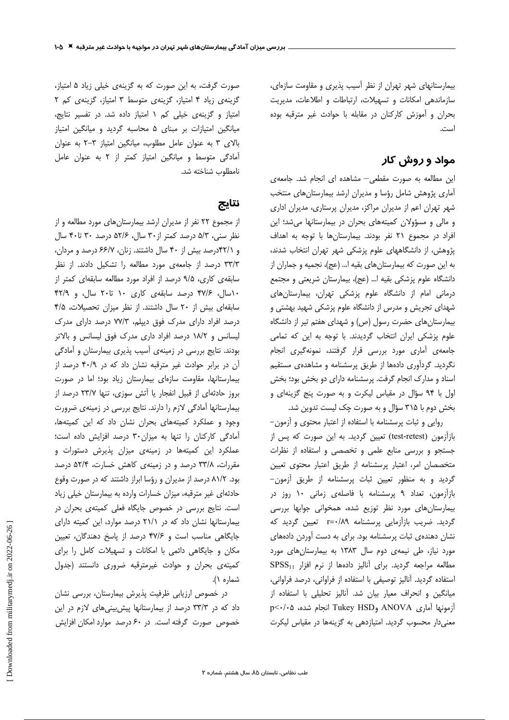بیمارستانهای شهر تهران از نظر آسیب پذیری و مقاومت سازهای، سازماندهی امکانات و تسهیلات، ارتباطات و اطلاعات، مدیریت بحران و آموزش كاركنان در مقابله با حوادث غير مترقبه بوده است.

## مواد و روش کار

این مطالعه به صورت مقطعی- مشاهده ای انجام شد. جامعهی آماری پژوهش شامل رؤسا و مدیران ارشد بیمارستان های منتخب شهر تهران اعم از مدیران مراکز، مدیران پرستاری، مدیران اداری و مالی و مسؤولان کمیتههای بحران در بیمارستانها می شد؛ این افراد در مجموع ۲۱ نفر بودند. بیمارستانها با توجه به اهداف پژوهش، از دانشگاههای علوم پزشکی شهر تهران انتخاب شدند، به این صورت که بیمارستانهای بقیه ا… (عج)، نجمیه و جماران از دانشگاه علوم پزشکی بقیه ا... (عج)، بیمارستان شریعتی و مجتمع درمانی امام از دانشگاه علوم پزشکی تهران، بیمارستانهای شهدای تجریش و مدرس از دانشگاه علوم پزشکی شهید بهشتی و بیمارستانهای حضرت رسول (ص) و شهدای هفتم تیر از دانشگاه علوم پزشكى ايران انتخاب گرديدند. با توجه به اين كه تمامى جامعهى أمارى مورد بررسى قرار گرفتند، نمونهگيرى انجام نگردید. گردآوری دادهها از طریق پرسشنامه و مشاهدهی مستقیم اسناد و مدارک انجام گرفت. پرسشنامه دارای دو بخش بود؛ بخش اول با ۹۴ سؤال در مقیاس لیکرت و به صورت پنج گزینهای و بخش دوم با ۳۱۵ سؤال و به صورت چک لیست تدوین شد.

روایی و ثبات پرسشنامه با استفاده از اعتبار محتوی و آزمون– بازآزمون (test-retest) تعیین گردید. به این صورت که پس از جستجو وبررسى منابع علمى وتخصصى واستفاده از نظرات متخصصان امر، اعتبار پرسشنامه از طریق اعتبار محتوی تعیین گردید و به منظور تعیین ثبات پرسشنامه از طریق آزمون-بازآزمون، تعداد ۹ پرسشنامه با فاصلهی زمانی ۱۰ روز در بیمارستانهای مورد نظر توزیع شده، همخوانی جوابها بررسی گردید. ضریب بازآزمایی پرسشنامه r=۰/۸۹ تعیین گردید که نشان دهندهی ثبات پرسشنامه بود. برای به دست آوردن دادههای مورد نیاز، طی نیمهی دوم سال ۱۳۸۳ به بیمارستانهای مورد مطالعه مراجعه گرديد. براى آناليز دادهها از نرم افزار SPSS11 استفاده گردید. آنالیز توصیفی با استفاده از فراوانی، درصد فراوانی، میانگین و انحراف معیار بیان شد. آنالیز تحلیلی با استفاده از آزمونها آماری ANOVA وTukey HSD انجام شده، p<٠/٠۵ معنی دار محسوب گردید. امتیازدهی به گزینهها در مقیاس لیکرت

صورت گرفت، به این صورت که به گزینهی خیلی زیاد ۵ امتیاز، گزینهی زیاد ۴ امتیاز، گزینهی متوسط ۳ امتیاز، گزینهی کم ۲ امتیاز و گزینهی خیلی کم ١ امتیاز داده شد. در تفسیر نتایج، میانگین امتیازات بر مبنای ۵ محاسبه گردید و میانگین امتیاز بالای ٣ به عنوان عامل مطلوب، میانگین امتیاز ٣-٢ به عنوان آمادگی متوسط و میانگین امتیاز کمتر از ۲ به عنوان عامل نامطلوب شناخته شد.

# نتايج

از مجموع ۲۲ نفر از مدیران ارشد بیمارستانهای مورد مطالعه و از نظر سنی، ۵/۳ درصد کمتر از۳۰ سال، ۵۲/۶ درصد ۳۰ تا۴۰ سال و ۴/ ۴۲درصد بیش از ۴۰ سال داشتند. زنان، ۶۶/۷ درصد و مردان، ٣٣/٣ درصد از جامعهى مورد مطالعه را تشكيل دادند. از نظر سابقهی کاری، ۹/۵ درصد از افراد مورد مطالعه سابقهای کمتر از ۱۰سال، ۴۷/۶ درصد سابقهی کاری ۱۰ تا۲۰ سال، و ۴۲/۹ سابقهای بیش از ٢٠ سال داشتند. از نظر میزان تحصیلات، ۴/۵ درصد افراد دارای مدرک فوق دیپلم، ۷۷/۳ درصد دارای مدرک لیسانس و ۱۸/۲ درصد افراد داری مدرک فوق لیسانس و بالاتر بودند. نتایج بررسی در زمینهی آسیب پذیری بیمارستان و آمادگی آن در برابر حوادث غیر مترقبه نشان داد که در ۴۰/۹ درصد از بیمارستانها، مقاومت سازهای بیمارستان زیاد بود؛ اما در صورت بروز حادثهای از قبیل انفجار یا آتش سوزی، تنها ۲۳/۷ درصد از بیمارستانها آمادگی لازم را دارند. نتایج بررسی در زمینهی ضرورت وجود و عملکرد کمیتههای بحران نشان داد که این کمیتهها، آمادگی کارکنان را تنها به میزان ۳۰ درصد افزایش داده است؛ عملکرد این کمیتهها در زمینهی میزان پذیرش دستورات و مقررات، ٣٣/٨ درصد و در زمينهى كاهش خسارت، ٥٢/۴ درصد بود. ۸۱/۲ درصد از مدیران و رؤسا ابراز داشتند که در صورت وقوع حادثهای غیر مترقبه، میزان خسارات وارده به بیمارستان خیلی زیاد است. نتایج بررسی در خصوص جایگاه فعلی کمیتهی بحران در بیمارستانها نشان داد که در ٢١/١ درصد موارد، این کمیته دارای جایگاهی مناسب است و ۴۷/۶ درصد از پاسخ دهندگان، تعیین مکان و جایگاهی دائمی با امکانات و تسهیلات کامل را برای كميتهى بحران وحوادث غيرمترقبه ضرورى دانستند (جدول شماره ۱).

در خصوص ارزیابی ظرفیت پذیرش بیمارستان، بررسی نشان داد که در ۳۳/۳ درصد از بیمارستانها پیش بینی های لازم در این خصوص صورت گرفته است. در ۶۰ درصد موارد امکان افزایش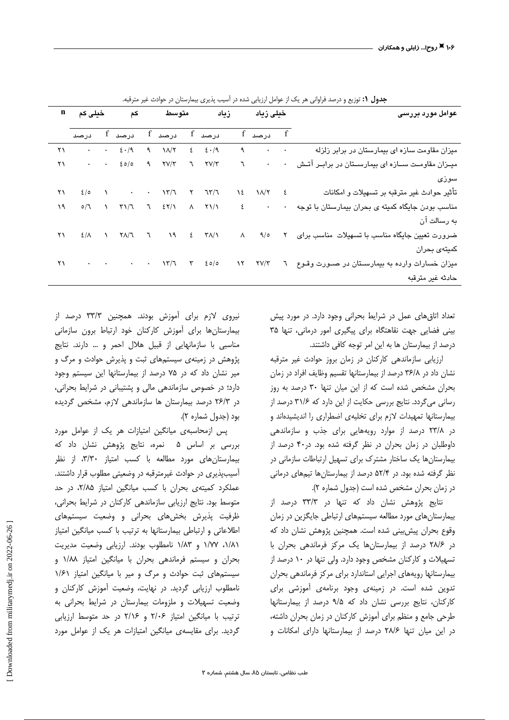| n  | کم خیلی کم                |  |                                                                                                                                                                                                                                            |               | متوسط                |                                     |           | خیلی زیاد                         |                                                                                | عوامل مورد بررسی                                               |
|----|---------------------------|--|--------------------------------------------------------------------------------------------------------------------------------------------------------------------------------------------------------------------------------------------|---------------|----------------------|-------------------------------------|-----------|-----------------------------------|--------------------------------------------------------------------------------|----------------------------------------------------------------|
|    | درصد                      |  | $f$ درصد                                                                                                                                                                                                                                   |               | درصد f               | درصد f                              |           | f درصد f                          |                                                                                |                                                                |
| ۲۱ |                           |  | $\cdot \cdot \cdot \cdot \in \cdot/9$                                                                                                                                                                                                      | $\mathcal{A}$ | $\lambda/\tau$       | $\epsilon$ $\epsilon$ $\cdot$ /9    | ٩         | $\bullet$                         | $\sim 100$                                                                     | میزان مقاومت سازه ای بیمارستان در برابر زلزله                  |
| ۲۱ |                           |  | $\cdot$ $\cdot$ $\epsilon$ $\circ$ /0                                                                                                                                                                                                      |               | $9$ $7\sqrt{7}$      | $7$ $7$ $7$ $7$ $7$                 | ٦         |                                   | $\bullet$ .<br><br><br><br><br><br><br><br><br><br><br><br><br><br><br>$\star$ | میــزان مقاومــت ســازه ای بیمارســتان در برابــر آتــش        |
|    |                           |  |                                                                                                                                                                                                                                            |               |                      |                                     |           |                                   |                                                                                | سوزى                                                           |
| ۲۱ | 2/0                       |  | $\mathcal{N}$ and $\mathcal{N}$                                                                                                                                                                                                            | $\bullet$     | $\frac{1}{\sqrt{2}}$ | $\gamma$ $\gamma\gamma$             |           | $\lambda \epsilon$ $\lambda/\tau$ | $\epsilon$                                                                     | تأثير حوادث غير مترقبه بر تسهيلات و امكانات                    |
| ۱۹ | $\mathcal{O}/\mathcal{J}$ |  | $\begin{matrix} \gamma & \gamma & \gamma \end{matrix}$ , $\begin{matrix} \gamma & \gamma & \delta & \delta \end{matrix}$ , $\begin{matrix} \gamma & \gamma & \delta \end{matrix}$ , $\begin{matrix} \gamma & \gamma & \delta \end{matrix}$ |               |                      |                                     |           |                                   |                                                                                | مناسب بودن جایگاه کمیته ی بحران بیمارستان با توجه <sup>.</sup> |
|    |                           |  |                                                                                                                                                                                                                                            |               |                      |                                     |           |                                   |                                                                                | به رسالت آن                                                    |
| ۲۱ | $\mathcal{E}/\Lambda$ \   |  | $\mathsf{Y} \wedge / \mathsf{Y}$                                                                                                                                                                                                           |               | $7$ $19$             | $\epsilon$ $\tau$ $\Lambda/\Lambda$ | $\wedge$  | 9/0                               | $\mathsf{r}$                                                                   | ضرورت تعیین جایگاه مناسب با تسهیلات مناسب برای                 |
|    |                           |  |                                                                                                                                                                                                                                            |               |                      |                                     |           |                                   |                                                                                | كميتە <i>ى</i> بحران                                           |
| ۲۱ |                           |  |                                                                                                                                                                                                                                            |               |                      | $\tau$ 20/0                         | $\lambda$ | $\Upsilon V/\Upsilon$             | $\mathcal{L}$                                                                  | میزان خسارات وارده به بیمارستان در صـورت وقـوع                 |
|    |                           |  |                                                                                                                                                                                                                                            |               |                      |                                     |           |                                   |                                                                                | حادثه غير مترقبه                                               |

جدول ۱: توزیع و درصد فراوانی هر یک از عوامل ارزیابی شده در آسیب پذیری بیمارستان در حوادث غیر مترقبه.

تعداد اتاق های عمل در شرایط بحرانی وجود دارد. در مورد پیش بینی فضایی جهت نقاهتگاه برای پیگیری امور درمانی، تنها ۳۵ درصد از بیمارستان ها به این امر توجه کافی داشتند.

ارزیابی سازماندهی کارکنان در زمان بروز حوادث غیر مترقبه نشان داد در ۳۶/۸ درصد از بیمارستانها تقسیم وظایف افراد در زمان بحران مشخص شده است که از این میان تنها ۳۰ درصد به روز رسانی میگردد. نتایج بررسی حکایت از این دارد که ۳۱/۶ درصد از بیمارستانها تمهیدات لازم برای تخلیهی اضطراری را اندیشیدهاند و در ۲۳/۸ درصد از موارد رویههایی برای جذب و سازماندهی داوطلبان در زمان بحران در نظر گرفته شده بود. در۴۰ درصد از بیمارستان ها یک ساختار مشترک برای تسهیل ارتباطات سازمانی در نظر گرفته شده بود. در ۵۲/۴ درصد از بیمارستانها تیمهای درمانی در زمان بحران مشخص شده است (جدول شماره ٢).

نتایج پژوهش نشان داد که تنها در ۳۳/۳ درصد از بیمارستانهای مورد مطالعه سیستمهای ارتباطی جایگزین در زمان وقوع بحران پیش بینی شده است. همچنین پژوهش نشان داد که در ۲۸/۶ درصد از بیمارستانها یک مرکز فرماندهی بحران با تسهیلات و کارکنان مشخص وجود دارد. ولی تنها در ۱۰ درصد از بیمارستانها رویههای اجرایی استاندارد برای مرکز فرماندهی بحران تدوین شده است. در زمینهی وجود برنامهی آموزشی برای كاركنان، نتايج بررسى نشان داد كه ٩/۵ درصد از بيمارستانها طرحی جامع و منظم برای آموزش کارکنان در زمان بحران داشته، در این میان تنها ۲۸/۶ درصد از بیمارستانها دارای امکانات و

نیروی لازم برای آموزش بودند. همچنین ۳۳/۳ درصد از بیمارستانها برای آموزش کارکنان خود ارتباط برون سازمانی مناسبی با سازمانهایی از قبیل هلال احمر و … دارند. نتایج پژوهش در زمینهی سیستمهای ثبت و پذیرش حوادث و مرگ و میر نشان داد که در ۷۵ درصد از بیمارستانها این سیستم وجود دارد؛ در خصوص سازماندهی مالی و پشتیبانی در شرایط بحرانی، در ۲۶/۳ درصد بیمارستان ها سازماندهی لازم، مشخص گردیده بود (جدول شماره ۲).

پس ازمحاسبهی میانگین امتیازات هر یک از عوامل مورد بررسی بر اساس ۵ نمره، نتایج پژوهش نشان داد که بیمارستان های مورد مطالعه با کسب امتیاز ۳/۳۰، از نظر آسیب یذیری در حوادث غیرمترقبه در وضعیتی مطلوب قرار داشتند. عملکرد کمیتهی بحران با کسب میانگین امتیاز ۲/۸۵، در حد متوسط بود. نتایج ارزیابی سازماندهی کارکنان در شرایط بحرانی، ظرفیت پذیرش بخشهای بحرانی و وضعیت سیستمهای اطلاعاتی و ارتباطی بیمارستانها به ترتیب با کسب میانگین امتیاز ١/٨١، ١/٧٧ و ١/٨٣ نامطلوب بودند. ارزيابي وضعيت مديريت بحران و سیستم فرماندهی بحران با میانگین امتیاز ۱/۸۸ و سیستمهای ثبت حوادث و مرگ و میر با میانگین امتیاز ۱/۶۱ نامطلوب ارزیابی گردید. در نهایت، وضعیت آموزش کارکنان و وضعیت تسهیلات و ملزومات بیمارستان در شرایط بحرانی به ترتیب با میانگین امتیاز ۲/۰۶ و ۲/۱۶ در حد متوسط ارزیابی گردید. برای مقایسهی میانگین امتیازات هر یک از عوامل مورد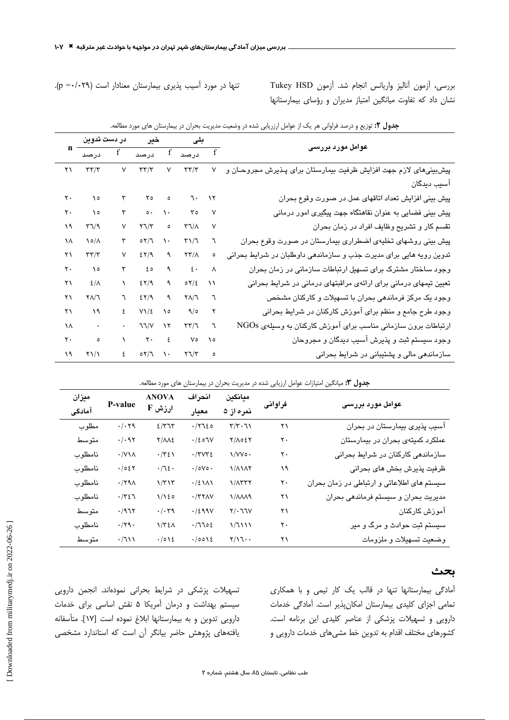تنها در مورد آسیب پذیری بیمارستان معنادار است (p =٠/٠٢٩).

بررسى، آزمون آناليز واريانس انجام شد. آزمون Tukey HSD نشان داد که تفاوت میانگین امتیاز مدیران و رؤسای بیمارستانها

|                         | <b>جدول ۲:</b> توزیع و درصد فراوانی هر یک از عوامل ارزریابی شده در وضعیت مدیریت بحران در بیمارستان های مورد مطالعه. |               |                                                                |                 |                               |                       |                                                                     |  |  |  |  |  |
|-------------------------|---------------------------------------------------------------------------------------------------------------------|---------------|----------------------------------------------------------------|-----------------|-------------------------------|-----------------------|---------------------------------------------------------------------|--|--|--|--|--|
|                         | خير در دست تدوين                                                                                                    |               |                                                                |                 | بلی                           |                       |                                                                     |  |  |  |  |  |
|                         |                                                                                                                     |               |                                                                |                 |                               |                       | عوامل مورد بررسی                                                    |  |  |  |  |  |
| $\gamma$                | $\tau\tau/\tau$                                                                                                     | $\mathsf{V}$  | $\tau\tau/\tau$                                                | $\mathsf{V}^-$  | $\tau\tau/\tau$               | ٧                     | پیشبینیهای لازم جهت افزایش ظرفیت بیمارستان برای پـذیرش مجروحـان و   |  |  |  |  |  |
|                         |                                                                                                                     |               |                                                                |                 |                               |                       | آسیب دیدگان                                                         |  |  |  |  |  |
| $\mathbf{\ddot{}}\cdot$ | $\lambda$                                                                                                           | ٣             | $\gamma$ $\circ$ $\circ$                                       |                 | $7 - 17$                      |                       | پیش بینی افزایش تعداد اتاقهای عمل در صورت وقوع بحران                |  |  |  |  |  |
| ۲۰                      | $\lambda$                                                                                                           | ٣             | $\circ \cdot \cdot \cdot \cdot \cdot$                          |                 | $r \circ$                     | $\mathsf{v}$          | پیش بینی فضایی به عنوان نقاهتگاه جهت پیگیری امور درمانی             |  |  |  |  |  |
| ١٩                      | $\Gamma\gamma\gamma$                                                                                                | ٧             | $\mathbf{Y} \mathbf{U} / \mathbf{Y}$                           | $\bullet$       | $\upgamma\upgamma/\uplambda$  | ٧                     | تقسم کار و تشریح وظایف افراد در زمان بحران                          |  |  |  |  |  |
| ١٨                      | $\backslash \circ / \wedge$                                                                                         | ٣             | $\circ \gamma/\gamma \quad \gamma \, \cdot \quad$              |                 | $\Gamma\backslash/\mathbb{I}$ | ٦                     | پیش بینی روشهای تخلیهی اضطراری بیمارستان در صورت وقوع بحران         |  |  |  |  |  |
| ۲۱                      | $\tau\tau/\tau$                                                                                                     | ٧             | 257/9                                                          | ٩               | $\frac{1}{\sqrt{2}}$          | ٥                     | تدوین رویه هایی برای مدیرت جذب و سازماندهی داوطلبان در شرایط بحرانی |  |  |  |  |  |
| ۲۰                      | $\lambda$                                                                                                           | ٣             | $\epsilon \circ$                                               | ٩               | $\mathbf{\xi}$ .              | $\boldsymbol{\wedge}$ | وجود ساختار مشترک برای تسهیل ارتباطات سازمانی در زمان بحران         |  |  |  |  |  |
| ۲۱                      | $\mathcal{E}/\Lambda$                                                                                               | $\mathcal{L}$ | 25/9                                                           | ٩               | 07/2                          | ۱١                    | تعیین تیمهای درمانی برای ارائهی مراقبتهای درمانی در شرایط بحرانی    |  |  |  |  |  |
| ۲۱                      | $\mathsf{Y} \wedge \mathsf{Y} \mathsf{Y}$                                                                           | ٦             | $257/9$ 9                                                      |                 | $Y\Lambda/T$                  | ٦                     | وجود یک مرکز فرماندهی بحران با تسهیلات و کارکنان مشخص               |  |  |  |  |  |
| ۲۱                      | $\lambda$                                                                                                           | ٤             | $V\setminus\mathcal{E}$                                        | $\mathcal{N}$ o | 9/0                           | ۲                     | وجود طرح جامع و منظم برای آموزش کارکنان در شرایط بحرانی             |  |  |  |  |  |
| ١٨                      | $\sim$ $\sim$                                                                                                       |               | 77/                                                            | $\mathcal{N}$   | $\tau\tau/\tau$               | $\mathcal{L}$         | ارتباطات برون سازمانی مناسب برای آموزش کارکنان به وسیلهی NGOs       |  |  |  |  |  |
| $\mathbf{\ddot{}}\cdot$ | $\overline{\phantom{0}}$ . $\overline{\phantom{0}}$ .                                                               |               | $\gamma$ $\gamma$ . $\epsilon$                                 |                 | $V \circ$                     | $\lambda$             | وجود سیستم ثبت و پذیرش آسیب دیدگان و مجروحان                        |  |  |  |  |  |
| ۱۹                      | $\gamma$                                                                                                            |               | $\epsilon$ $\circ$ $\tau/\tau$ $\cdot$ $\tau\tau/\tau$ $\circ$ |                 |                               |                       | سازماندهی مالی و پشتیبانی در شرایط بحرانی                           |  |  |  |  |  |

|  |  |  |  |  |  |  |  |  |  |  | <b>جدول ۲:</b> توزیع و درصد فراوانی هر یک از عوامل ارزریابی شده در وضعیت مدیریت بحران در بیمارستان های مورد مطالعه. |  |  |
|--|--|--|--|--|--|--|--|--|--|--|---------------------------------------------------------------------------------------------------------------------|--|--|
|--|--|--|--|--|--|--|--|--|--|--|---------------------------------------------------------------------------------------------------------------------|--|--|

| جدول ۰.۳ میانگین امتیازات عوامل ارزیابی شده در مدیریت بحران در بیمارستان های مورد مطالعه. |  |  |  |
|-------------------------------------------------------------------------------------------|--|--|--|
|                                                                                           |  |  |  |

| ميزان   |                      | <b>ANOVA</b>             | انحراف<br>ميانگين                   |                                         |         |                                            |  |
|---------|----------------------|--------------------------|-------------------------------------|-----------------------------------------|---------|--------------------------------------------|--|
| آمادگی  | P-value              | $F$ ارزش                 | معيار                               | نمره از ۵                               | فراوانى | عوامل مورد بررسی                           |  |
| مطلوب   | $\cdot/\cdot$ ۲۹     | 2/T                      | .7720                               | $\mathbf{Y}/\mathbf{Y}\cdot \mathbf{U}$ | ۲۱      | آسیب پذیری بیمارستان در بحران              |  |
| متوسط   | $\cdot/\cdot$ 97     | $Y/\Lambda\Lambda\S$     | . / 207V                            | $Y/\Lambda$ $\Sigma Y$                  | ۲٠      | عملکرد کمیتهی بحران در بیمارستان           |  |
| نامطلوب | $\cdot$ /V\ $\wedge$ | $\cdot/\tau$ ٤١          | $\cdot$ /٣٧٣٤                       | $\sqrt{V}$                              | ٢٠      | سازماندهی کارکنان در شرایط بحرانی          |  |
| نامطلوب | .7057                | $\cdot/\sqrt{2}$ .       | $\cdot$ / $\circ$ V $\circ$ $\cdot$ | 1/1117                                  | ۱۹      | ظرفیت پذیرش بخش های بحرانی                 |  |
| نامطلوب | $\cdot$ /۲۹ $\wedge$ | $\frac{1}{\tau}$         | $\cdot/2$ \ $\wedge$ \              | $1/\lambda$ ۳۳۲                         | ٢٠      | سیستم های اطلاعاتی و ارتباطی در زمان بحران |  |
| نامطلوب | $\cdot/\tau\epsilon$ | 1/120                    | $\cdot$ /٣٢٨٧                       | $1/\lambda\lambda\lambda$ ۹             | ۲۱      | مديريت بحران و سيستم فرماندهي بحران        |  |
| متوسط   | .7977                | $\cdot/\cdot \tau$ ٩     | .7299V                              | $Y/\cdot$ 77 $V$                        | ۲۱      | آموزش كاركنان                              |  |
| نامطلوب | $\cdot/\mathbf{Y}$   | $1/\Upsilon \xi \Lambda$ | .7702                               | $\frac{1}{1}$                           | ٢٠      | سیستم ثبت حوادث و مرگ و میر                |  |
| متوسط   | .7111                | .7012                    | .0012                               | $Y/Y \cdot \cdot$                       | ۲۱      | وضعيت تسهيلات و ملزومات                    |  |

### بحث

آمادگی بیمارستانها تنها در قالب یک کار تیمی و با همکاری تمامی اجزای کلیدی بیمارستان امکانپذیر است. آمادگی خدمات دارویی و تسهیلات پزشکی از عناصر کلیدی این برنامه است. کشورهای مختلف اقدام به تدوین خط مشیهای خدمات دارویی و

تسهیلات پزشکی در شرایط بحرانی نمودهاند. انجمن دارویی سیستم بهداشت و درمان آمریکا ۵ نقش اساسی برای خدمات دارويي تدوين و به بيمارستانها ابلاغ نموده است [١٧]. متأسفانه یافتههای پژوهش حاضر بیانگر آن است که استاندارد مشخصی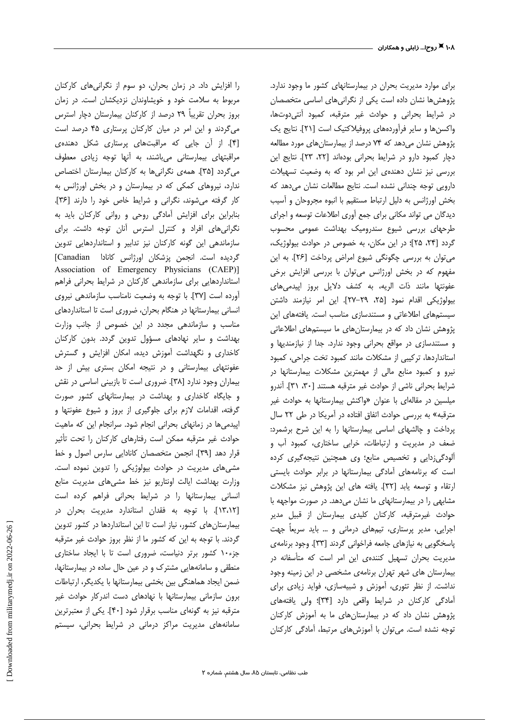را افزایش داد. در زمان بحران، دو سوم از نگرانی های کارکنان مربوط به سلامت خود و خویشاوندان نزدیکشان است. در زمان بروز بحران تقریباً ۲۹ درصد از کارکنان بیمارستان دچار استرس میگردند و این امر در میان کارکنان پرستاری ۴۵ درصد است [۴]. از آن جایی که مراقبتهای پرستاری شکل دهندهی مراقبتهای بیمارستانی می باشند، به آنها توجه زیادی معطوف میگردد [۳۵]. همهی نگرانیها به کارکنان بیمارستان اختصاص ندارد، نیروهای کمکی که در بیمارستان و در بخش اورژانس به كار گرفته مى شوند، نكرانى و شرايط خاص خود را دارند [٣۶]. بنابراین برای افزایش آمادگی روحی و روانی کارکنان باید به نگرانی های افراد و کنترل استرس آنان توجه داشت. برای سازماندهی این گونه کارکنان نیز تدابیر و استانداردهایی تدوین گردیده است. انجمن پزشکان اورژانس کانادا [Canadian] Association of Emergency Physicians (CAEP)] استانداردهایی برای سازماندهی کارکنان در شرایط بحرانی فراهم آورده است [٣٧]. با توجه به وضعیت نامناسب سازماندهی نیروی انسانی بیمارستانها در هنگام بحران، ضروری است تا استانداردهای مناسب و سازماندهی مجدد در این خصوص از جانب وزارت بهداشت و سایر نهادهای مسؤول تدوین گردد. بدون کارکنان کاخداری و نگهداشت آموزش دیده، امکان افزایش و گسترش عفونتهای بیمارستانی و در نتیجه امکان بستری بیش از حد بیماران وجود ندارد [۳۸]. ضروری است تا بازبینی اساسی در نقش و جایگاه کاخداری و بهداشت در بیمارستانهای کشور صورت گرفته، اقدامات لازم برای جلوگیری از بروز و شیوع عفونتها و اپیدمیها در زمانهای بحرانی انجام شود. سرانجام این که ماهیت حوادث غیر مترقبه ممکن است رفتارهای کارکنان را تحت تأثیر قرار دهد [۳۹]. انجمن متخصصان كانادايي سارس اصول و خط مشیهای مدیریت در حوادث بیولوژیکی را تدوین نموده است. وزارت بهداشت ایالت اونتاریو نیز خط مشی های مدیریت منابع انسانی بیمارستانها را در شرایط بحرانی فراهم کرده است [١٣،١٢]. با توجه به فقدان استاندارد مديريت بحران در بیمارستانهای کشور، نیاز است تا این استانداردها در کشور تدوین گردند. با توجه به این که کشور ما از نظر بروز حوادث غیر مترقبه جزء١٠ كشور برتر دنياست، ضرورى است تا با ايجاد ساختارى منطقی و سامانههایی مشترک و در عین حال ساده در بیمارستانها، ضمن ايجاد هماهنگي بين بخشي بيمارستانها با يكديگر، ارتباطات برون سازمانی بیمارستانها با نهادهای دست اندرکار حوادث غیر مترقبه نیز به گونهای مناسب برقرار شود [۴۰]. یکی از معتبرترین سامانههای مدیریت مراکز درمانی در شرایط بحرانی، سیستم

برای موارد مدیریت بحران در بیمارستانهای کشور ما وجود ندارد. پژوهش ها نشان داده است یکی از نگرانی های اساسی متخصصان در شرایط بحرانی و حوادث غیر مترقبه، کمبود أنتی دوتها، واکسنها و سایر فرآوردههای پروفیلاکتیک است [۲۱]. نتایج یک پژوهش نشان میدهد که ۷۴ درصد از بیمارستانهای مورد مطالعه دچار كمبود دارو در شرايط بحرانى بودهاند [٢٢، ٢٣]. نتايج اين بررسی نیز نشان دهندهی این امر بود که به وضعیت تسهیلات دارویی توجه چندانی نشده است. نتایج مطالعات نشان می دهد که بخش اورژانس به دلیل ارتباط مستقیم با انبوه مجروحان و آسیب دیدگان می تواند مکانی برای جمع آوری اطلاعات توسعه و اجرای طرحهای بررسی شیوع سندرومیک بهداشت عمومی محسوب گردد [۲۴، ۲۵]؛ در این مکان، به خصوص در حوادث بیولوژیک، می توان به بررسی چگونگی شیوع امراض پرداخت [٢۶]. به این مفهوم که در بخش اورژانس میتوان با بررسی افزایش برخی عفونتها مانند ذات الريه، به كشف دلايل بروز اييدمى هاى بيولوژيكي اقدام نمود [٢۵، ٢٩–٢٧]. اين امر نيازمند داشتن سیستمهای اطلاعاتی و مستندسازی مناسب است. یافتههای این پژوهش نشان داد که در بیمارستانهای ما سیستمهای اطلاعاتی و مستندسازی در مواقع بحرانی وجود ندارد. جدا از نیازمندیها و استانداردها، ترکیبی از مشکلات مانند کمبود تخت جراحی، کمبود نیرو و کمبود منابع مالی از مهمترین مشکلات بیمارستانها در شرايط بحراني ناشي از حوادث غير مترقبه هستند [٣٠، ٣١]. آندرو میلسین در مقالهای با عنوان «واکنش بیمارستانها به حوادث غیر مترقبه» به بررسی حوادث اتفاق افتاده در آمریکا در طی ۲۲ سال پرداخت و چالشهای اساسی بیمارستانها را به این شرح برشمرد: ضعف در مدیریت و ارتباطات، خرابی ساختاری، کمبود آب و ألودگیزدایی و تخصیص منابع؛ وی همچنین نتیجهگیری کرده است که برنامههای آمادگی بیمارستانها در برابر حوادث بایستی ارتقاء و توسعه يابد [٣٢]. يافته هاي اين پژوهش نيز مشكلات مشابهی را در بیمارستانهای ما نشان میدهد. در صورت مواجهه با حوادث غیرمترقبه، کارکنان کلیدی بیمارستان از قبیل مدیر اجرایی، مدیر پرستاری، تیمهای درمانی و … باید سریعاً جهت پاسخگویی به نیازهای جامعه فراخوانی گردند [۳۳]. وجود برنامهی مدیریت بحران تسهیل کنندهی این امر است که متأسفانه در بیمارستان های شهر تهران برنامهی مشخصی در این زمینه وجود نداشت. از نظر تئوری، آموزش و شبیهسازی، فواید زیادی برای آمادگی کارکنان در شرایط واقعی دارد [۳۴]؛ ولی یافتههای یژوهش نشان داد که در بیمارستانهای ما به آموزش کارکنان توجه نشده است. می توان با آموزش های مرتبط، آمادگی کارکنان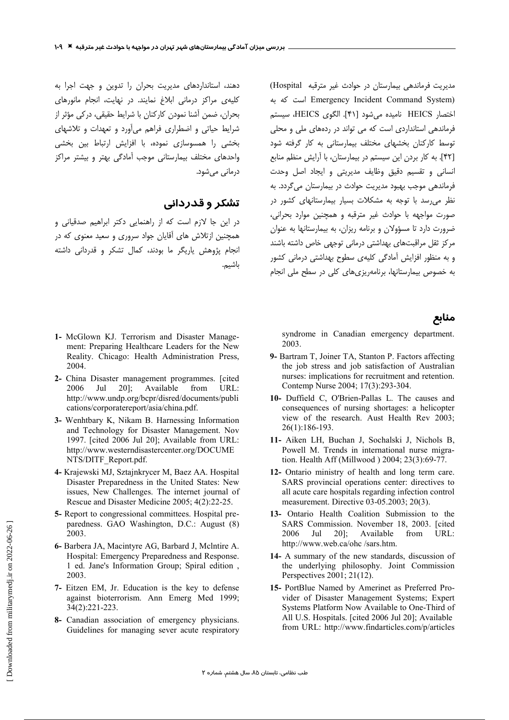دهند، استانداردهای مدیریت بحران را تدوین و جهت اجرا به کلی*دی* مراکز درمانی ابلاغ نمایند. در نهایت، انجام مانورهای بحران، ضمن آشنا نمودن كاركنان با شرايط حقيقي، دركي مؤثر از شرایط حیاتی و اضطراری فراهم می آورد و تعهدات و تلاشهای بخشی را همسوسازی نموده، با افزایش ارتباط بین بخشی واحدهای مختلف بیمارستانی موجب آمادگی بهتر و بیشتر مراکز درمانی می شود.

## تشکر و قدردانی

در این جا لازم است که از راهنمایی دکتر ابراهیم صدقیانی و همچنین ازتلاش های آقایان جواد سروری و سعید معنوی که در انجام یژوهش یاریگر ما بودند، کمال تشکر و قدردانی داشته باشيم.

- 1- McGlown KJ. Terrorism and Disaster Management: Preparing Healthcare Leaders for the New Reality. Chicago: Health Administration Press, 2004.
- 2- China Disaster management programmes. [cited 2006 Jul  $20$ : Available from URL: http://www.undp.org/bcpr/disred/documents/publi cations/corporatereport/asia/china.pdf.
- 3- Wenhtbary K, Nikam B. Harnessing Information and Technology for Disaster Management. Nov 1997. [cited 2006 Jul 20]; Available from URL: http://www.westerndisastercenter.org/DOCUME NTS/DITF Report.pdf.
- 4- Krajewski MJ, Sztajnkrycer M, Baez AA. Hospital Disaster Preparedness in the United States: New issues, New Challenges. The internet journal of Rescue and Disaster Medicine 2005: 4(2):22-25.
- 5- Report to congressional committees. Hospital preparedness. GAO Washington, D.C.: August (8) 2003.
- 6- Barbera JA, Macintyre AG, Barbard J, McIntire A. Hospital: Emergency Preparedness and Response. 1 ed. Jane's Information Group; Spiral edition, 2003
- 7- Eitzen EM, Jr. Education is the key to defense against bioterrorism. Ann Emerg Med 1999;  $34(2):221-223$ .
- 8- Canadian association of emergency physicians. Guidelines for managing sever acute respiratory

مدیریت فرماندهی بیمارستان در حوادث غیر مترقبه Hospital) Emergency Incident Command System) است که به اختصار HEICS نامیده می شود [۴۱]. الگوی HEICS، سیستم .<br>فرماندهی استانداردی است که می تواند در ردههای ملی و محلی ۔<br>توسط کارکنان بخشها*ی* مختلف بیمارستانی به کار گرفته شود [۴۲]. به کار بردن این سیستم در بیمارستان، با آرایش منظم منابع انسانی و تقسیم دقیق وظایف مدیریتی و ایجاد اصل وحدت فرماندهی موجب بهبود مدیریت حوادث در بیمارستان می گردد. به نظر می رسد با توجه به مشکلات بسیار بیمارستانهای کشور در صورت مواجهه با حوادث غیر مترقبه و همچنین موارد بحرانی، ضرورت دارد تا مسؤولان و برنامه ریزان، به بیمارستانها به عنوان مرکز ثقل مراقبتهای بهداشتی درمانی توجهی خاص داشته باشند و به منظور افزایش آمادگی کلیهی سطوح بهداشتی درمانی کشور به خصوص بیمارستانها، برنامهریزیهای کلی در سطح ملی انجام

#### منابع

syndrome in Canadian emergency department. 2003.

- 9- Bartram T, Joiner TA, Stanton P. Factors affecting the job stress and job satisfaction of Australian nurses: implications for recruitment and retention. Contemp Nurse 2004; 17(3):293-304.
- 10- Duffield C, O'Brien-Pallas L. The causes and consequences of nursing shortages: a helicopter view of the research. Aust Health Rev 2003; 26(1):186-193.
- 11- Aiken LH, Buchan J, Sochalski J, Nichols B, Powell M. Trends in international nurse migration. Health Aff (Millwood) 2004; 23(3):69-77.
- 12- Ontario ministry of health and long term care. SARS provincial operations center: directives to all acute care hospitals regarding infection control measurement. Directive  $03-05.2003:20(3)$ .
- 13- Ontario Health Coalition Submission to the SARS Commission. November 18, 2003. [cited  $20$ ]; 2006 Jul Available from  $\overline{\text{IRL}}$ http://www.web.ca/ohc/sars.htm.
- 14- A summary of the new standards, discussion of the underlying philosophy. Joint Commission Perspectives 2001; 21(12).
- 15- PortBlue Named by Amerinet as Preferred Provider of Disaster Management Systems; Expert Systems Platform Now Available to One-Third of All U.S. Hospitals. [cited 2006 Jul 20]; Available from URL: http://www.findarticles.com/p/articles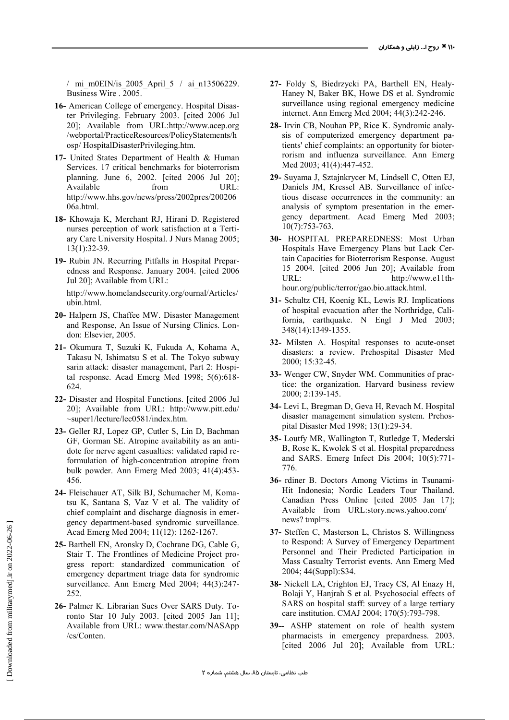/ mi\_m0EIN/is\_2005\_April\_5 / ai\_n13506229. Business Wire . 2005.

- **16-** American College of emergency. Hospital Disaster Privileging. February 2003. [cited 2006 Jul 20]; Available from URL:http://www.acep.org /webportal/PracticeResources/PolicyStatements/h osp/ HospitalDisasterPrivileging.htm.
- **17-** United States Department of Health & Human Services. 17 critical benchmarks for bioterrorism planning. June 6, 2002. [cited 2006 Jul 20]; Available from URL: http://www.hhs.gov/news/press/2002pres/200206 06a.html.
- **18-** Khowaja K, Merchant RJ, Hirani D. Registered nurses perception of work satisfaction at a Tertiary Care University Hospital. J Nurs Manag 2005; 13(1):32-39.
- **19-** Rubin JN. Recurring Pitfalls in Hospital Preparedness and Response. January 2004. [cited 2006 Jul 20]; Available from URL:

http://www.homelandsecurity.org/ournal/Articles/ ubin.html.

- **20-** Halpern JS, Chaffee MW. Disaster Management and Response, An Issue of Nursing Clinics. London: Elsevier, 2005.
- **21-** Okumura T, Suzuki K, Fukuda A, Kohama A, Takasu N, Ishimatsu S et al. The Tokyo subway sarin attack: disaster management, Part 2: Hospital response. Acad Emerg Med 1998; 5(6):618- 624.
- **22-** Disaster and Hospital Functions. [cited 2006 Jul 20]; Available from URL: http://www.pitt.edu/ ~super1/lecture/lec0581/index.htm.
- **23-** Geller RJ, Lopez GP, Cutler S, Lin D, Bachman GF, Gorman SE. Atropine availability as an antidote for nerve agent casualties: validated rapid reformulation of high-concentration atropine from bulk powder. Ann Emerg Med 2003; 41(4):453- 456.
- **24-** Fleischauer AT, Silk BJ, Schumacher M, Komatsu K, Santana S, Vaz V et al. The validity of chief complaint and discharge diagnosis in emergency department-based syndromic surveillance. Acad Emerg Med 2004; 11(12): 1262-1267.
- **25-** Barthell EN, Aronsky D, Cochrane DG, Cable G, Stair T. The Frontlines of Medicine Project progress report: standardized communication of emergency department triage data for syndromic surveillance. Ann Emerg Med 2004; 44(3):247- 252.
- **26-** Palmer K. Librarian Sues Over SARS Duty. Toronto Star 10 July 2003. [cited 2005 Jan 11]; Available from URL: www.thestar.com/NASApp /cs/Conten.
- **27-** Foldy S, Biedrzycki PA, Barthell EN, Healy-Haney N, Baker BK, Howe DS et al. Syndromic surveillance using regional emergency medicine internet. Ann Emerg Med 2004; 44(3):242-246.
- **28-** Irvin CB, Nouhan PP, Rice K. Syndromic analysis of computerized emergency department patients' chief complaints: an opportunity for bioterrorism and influenza surveillance. Ann Emerg Med 2003; 41(4):447-452.
- **29-** Suyama J, Sztajnkrycer M, Lindsell C, Otten EJ, Daniels JM, Kressel AB. Surveillance of infectious disease occurrences in the community: an analysis of symptom presentation in the emergency department. Acad Emerg Med 2003; 10(7):753-763.
- **30-** HOSPITAL PREPAREDNESS: Most Urban Hospitals Have Emergency Plans but Lack Certain Capacities for Bioterrorism Response. August 15 2004. [cited 2006 Jun 20]; Available from URL: http://www.e11thhour.org/public/terror/gao.bio.attack.html.
- **31-** Schultz CH, Koenig KL, Lewis RJ. Implications of hospital evacuation after the Northridge, California, earthquake. N Engl J Med 2003; 348(14):1349-1355.
- **32-** Milsten A. Hospital responses to acute-onset disasters: a review. Prehospital Disaster Med 2000; 15:32-45.
- **33-** Wenger CW, Snyder WM. Communities of practice: the organization. Harvard business review 2000; 2:139-145.
- **34-** Levi L, Bregman D, Geva H, Revach M. Hospital disaster management simulation system. Prehospital Disaster Med 1998; 13(1):29-34.
- **35-** Loutfy MR, Wallington T, Rutledge T, Mederski B, Rose K, Kwolek S et al. Hospital preparedness and SARS. Emerg Infect Dis 2004; 10(5):771- 776.
- **36-** rdiner B. Doctors Among Victims in Tsunami-Hit Indonesia; Nordic Leaders Tour Thailand. Canadian Press Online [cited 2005 Jan 17]; Available from URL:story.news.yahoo.com/ news? tmpl=s.
- **37-** Steffen C, Masterson L, Christos S. Willingness to Respond: A Survey of Emergency Department Personnel and Their Predicted Participation in Mass Casualty Terrorist events. Ann Emerg Med 2004; 44(Suppl):S34.
- **38-** Nickell LA, Crighton EJ, Tracy CS, Al Enazy H, Bolaji Y, Hanjrah S et al. Psychosocial effects of SARS on hospital staff: survey of a large tertiary care institution. CMAJ 2004; 170(5):793-798.
- **39--** ASHP statement on role of health system pharmacists in emergency prepardness. 2003. [cited 2006 Jul 20]; Available from URL: